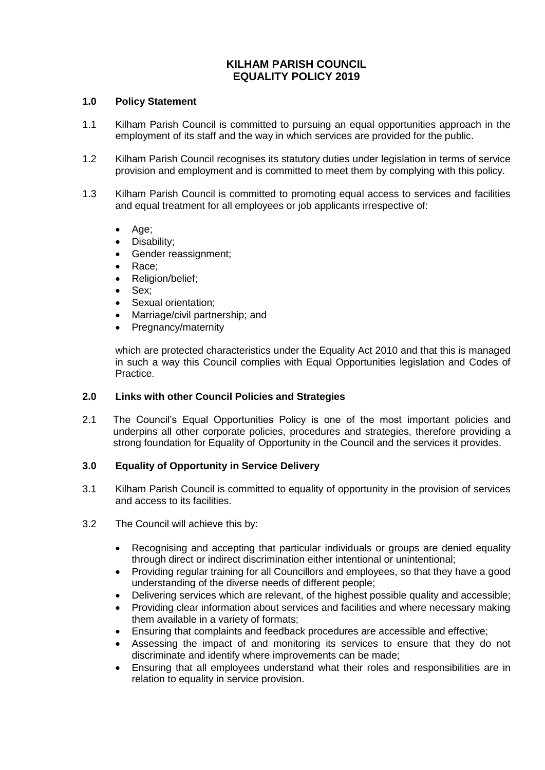# **KILHAM PARISH COUNCIL EQUALITY POLICY 2019**

## **1.0 Policy Statement**

- 1.1 Kilham Parish Council is committed to pursuing an equal opportunities approach in the employment of its staff and the way in which services are provided for the public.
- 1.2 Kilham Parish Council recognises its statutory duties under legislation in terms of service provision and employment and is committed to meet them by complying with this policy.
- 1.3 Kilham Parish Council is committed to promoting equal access to services and facilities and equal treatment for all employees or job applicants irrespective of:
	- Age;
	- Disability;
	- Gender reassignment:
	- Race:
	- Religion/belief;
	- Sex:
	- Sexual orientation;
	- Marriage/civil partnership; and
	- Pregnancy/maternity

which are protected characteristics under the Equality Act 2010 and that this is managed in such a way this Council complies with Equal Opportunities legislation and Codes of Practice.

## **2.0 Links with other Council Policies and Strategies**

2.1 The Council's Equal Opportunities Policy is one of the most important policies and underpins all other corporate policies, procedures and strategies, therefore providing a strong foundation for Equality of Opportunity in the Council and the services it provides.

## **3.0 Equality of Opportunity in Service Delivery**

- 3.1 Kilham Parish Council is committed to equality of opportunity in the provision of services and access to its facilities.
- 3.2 The Council will achieve this by:
	- Recognising and accepting that particular individuals or groups are denied equality through direct or indirect discrimination either intentional or unintentional;
	- Providing regular training for all Councillors and employees, so that they have a good understanding of the diverse needs of different people;
	- Delivering services which are relevant, of the highest possible quality and accessible;
	- Providing clear information about services and facilities and where necessary making them available in a variety of formats;
	- Ensuring that complaints and feedback procedures are accessible and effective;
	- Assessing the impact of and monitoring its services to ensure that they do not discriminate and identify where improvements can be made;
	- Ensuring that all employees understand what their roles and responsibilities are in relation to equality in service provision.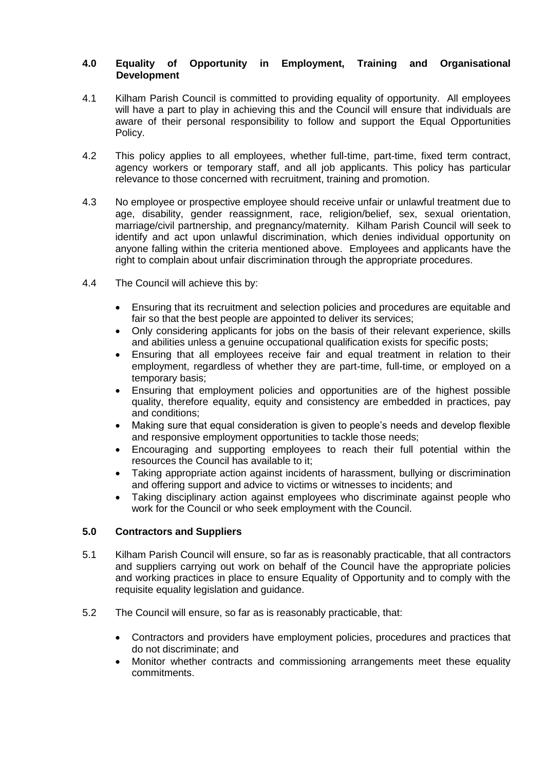## **4.0 Equality of Opportunity in Employment, Training and Organisational Development**

- 4.1 Kilham Parish Council is committed to providing equality of opportunity. All employees will have a part to play in achieving this and the Council will ensure that individuals are aware of their personal responsibility to follow and support the Equal Opportunities Policy.
- 4.2 This policy applies to all employees, whether full-time, part-time, fixed term contract, agency workers or temporary staff, and all job applicants. This policy has particular relevance to those concerned with recruitment, training and promotion.
- 4.3 No employee or prospective employee should receive unfair or unlawful treatment due to age, disability, gender reassignment, race, religion/belief, sex, sexual orientation, marriage/civil partnership, and pregnancy/maternity. Kilham Parish Council will seek to identify and act upon unlawful discrimination, which denies individual opportunity on anyone falling within the criteria mentioned above. Employees and applicants have the right to complain about unfair discrimination through the appropriate procedures.
- 4.4 The Council will achieve this by:
	- Ensuring that its recruitment and selection policies and procedures are equitable and fair so that the best people are appointed to deliver its services;
	- Only considering applicants for jobs on the basis of their relevant experience, skills and abilities unless a genuine occupational qualification exists for specific posts;
	- Ensuring that all employees receive fair and equal treatment in relation to their employment, regardless of whether they are part-time, full-time, or employed on a temporary basis;
	- Ensuring that employment policies and opportunities are of the highest possible quality, therefore equality, equity and consistency are embedded in practices, pay and conditions;
	- Making sure that equal consideration is given to people's needs and develop flexible and responsive employment opportunities to tackle those needs;
	- Encouraging and supporting employees to reach their full potential within the resources the Council has available to it;
	- Taking appropriate action against incidents of harassment, bullying or discrimination and offering support and advice to victims or witnesses to incidents; and
	- Taking disciplinary action against employees who discriminate against people who work for the Council or who seek employment with the Council.

## **5.0 Contractors and Suppliers**

- 5.1 Kilham Parish Council will ensure, so far as is reasonably practicable, that all contractors and suppliers carrying out work on behalf of the Council have the appropriate policies and working practices in place to ensure Equality of Opportunity and to comply with the requisite equality legislation and guidance.
- 5.2 The Council will ensure, so far as is reasonably practicable, that:
	- Contractors and providers have employment policies, procedures and practices that do not discriminate; and
	- Monitor whether contracts and commissioning arrangements meet these equality commitments.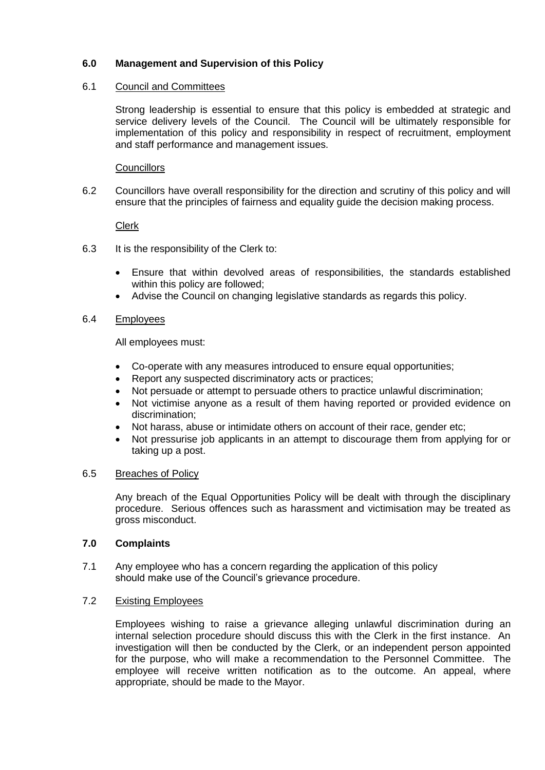# **6.0 Management and Supervision of this Policy**

## 6.1 Council and Committees

Strong leadership is essential to ensure that this policy is embedded at strategic and service delivery levels of the Council. The Council will be ultimately responsible for implementation of this policy and responsibility in respect of recruitment, employment and staff performance and management issues.

## **Councillors**

6.2 Councillors have overall responsibility for the direction and scrutiny of this policy and will ensure that the principles of fairness and equality guide the decision making process.

### Clerk

- 6.3 It is the responsibility of the Clerk to:
	- Ensure that within devolved areas of responsibilities, the standards established within this policy are followed;
	- Advise the Council on changing legislative standards as regards this policy.

### 6.4 Employees

All employees must:

- Co-operate with any measures introduced to ensure equal opportunities;
- Report any suspected discriminatory acts or practices:
- Not persuade or attempt to persuade others to practice unlawful discrimination;
- Not victimise anyone as a result of them having reported or provided evidence on discrimination;
- Not harass, abuse or intimidate others on account of their race, gender etc;
- Not pressurise job applicants in an attempt to discourage them from applying for or taking up a post.

#### 6.5 Breaches of Policy

Any breach of the Equal Opportunities Policy will be dealt with through the disciplinary procedure. Serious offences such as harassment and victimisation may be treated as gross misconduct.

#### **7.0 Complaints**

7.1 Any employee who has a concern regarding the application of this policy should make use of the Council's grievance procedure.

#### 7.2 Existing Employees

Employees wishing to raise a grievance alleging unlawful discrimination during an internal selection procedure should discuss this with the Clerk in the first instance. An investigation will then be conducted by the Clerk, or an independent person appointed for the purpose, who will make a recommendation to the Personnel Committee. The employee will receive written notification as to the outcome. An appeal, where appropriate, should be made to the Mayor.